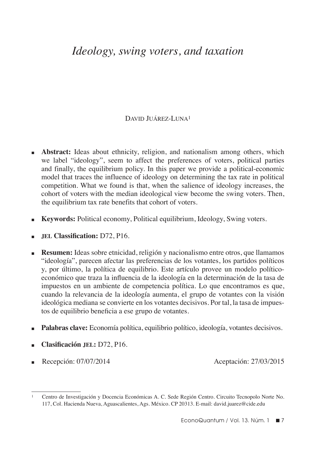# *Ideology, swing voters, and taxation*

# DAVID JUÁREZ-LUNA<sup>1</sup>

- **Abstract:** Ideas about ethnicity, religion, and nationalism among others, which we label "ideology", seem to affect the preferences of voters, political parties and finally, the equilibrium policy. In this paper we provide a political-economic model that traces the influence of ideology on determining the tax rate in political competition. What we found is that, when the salience of ideology increases, the cohort of voters with the median ideological view become the swing voters. Then, the equilibrium tax rate benefits that cohort of voters.
- **Keywords:** Political economy, Political equilibrium, Ideology, Swing voters.
- <sup>n</sup>**jel Classification:** D72, P16.
- **Resumen:** Ideas sobre etnicidad, religión y nacionalismo entre otros, que llamamos "ideología", parecen afectar las preferencias de los votantes, los partidos políticos y, por último, la política de equilibrio. Este artículo provee un modelo políticoeconómico que traza la influencia de la ideología en la determinación de la tasa de impuestos en un ambiente de competencia política. Lo que encontramos es que, cuando la relevancia de la ideología aumenta, el grupo de votantes con la visión ideológica mediana se convierte en los votantes decisivos. Por tal, la tasa de impuestos de equilibrio beneficia a ese grupo de votantes.
- **n Palabras clave:** Economía política, equilibrio político, ideología, votantes decisivos.
- <sup>n</sup>**Clasificación jel:** D72, P16.
- Recepción:  $07/07/2014$  Aceptación:  $27/03/2015$

<sup>1</sup> Centro de Investigación y Docencia Económicas A. C. Sede Región Centro. Circuito Tecnopolo Norte No. 117, Col. Hacienda Nueva, Aguascalientes, Ags. México. CP 20313. E-mail: david.juarez@cide.edu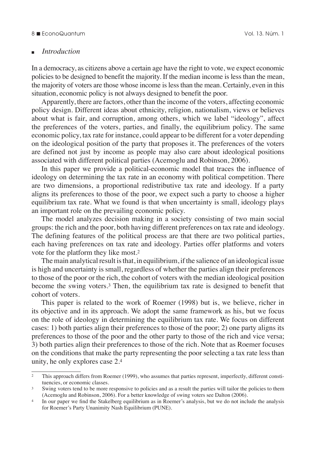#### 8 **■** EconoQuantum 2010 13. Núm. 1

#### <sup>n</sup>*Introduction*

In a democracy, as citizens above a certain age have the right to vote, we expect economic policies to be designed to benefit the majority. If the median income is less than the mean, the majority of voters are those whose income is less than the mean. Certainly, even in this situation, economic policy is not always designed to benefit the poor.

Apparently, there are factors, other than the income of the voters, affecting economic policy design. Different ideas about ethnicity, religion, nationalism, views or believes about what is fair, and corruption, among others, which we label "ideology", affect the preferences of the voters, parties, and finally, the equilibrium policy. The same economic policy, tax rate for instance, could appear to be different for a voter depending on the ideological position of the party that proposes it. The preferences of the voters are defined not just by income as people may also care about ideological positions associated with different political parties (Acemoglu and Robinson, 2006).

In this paper we provide a political-economic model that traces the influence of ideology on determining the tax rate in an economy with political competition. There are two dimensions, a proportional redistributive tax rate and ideology. If a party aligns its preferences to those of the poor, we expect such a party to choose a higher equilibrium tax rate. What we found is that when uncertainty is small, ideology plays an important role on the prevailing economic policy.

The model analyzes decision making in a society consisting of two main social groups: the rich and the poor, both having different preferences on tax rate and ideology. The defining features of the political process are that there are two political parties, each having preferences on tax rate and ideology. Parties offer platforms and voters vote for the platform they like most.2

The main analytical result is that, in equilibrium, if the salience of an ideological issue is high and uncertainty is small, regardless of whether the parties align their preferences to those of the poor or the rich, the cohort of voters with the median ideological position become the swing voters.3 Then, the equilibrium tax rate is designed to benefit that cohort of voters.

This paper is related to the work of Roemer (1998) but is, we believe, richer in its objective and in its approach. We adopt the same framework as his, but we focus on the role of ideology in determining the equilibrium tax rate. We focus on different cases: 1) both parties align their preferences to those of the poor; 2) one party aligns its preferences to those of the poor and the other party to those of the rich and vice versa; 3) both parties align their preferences to those of the rich. Note that as Roemer focuses on the conditions that make the party representing the poor selecting a tax rate less than unity, he only explores case 2.4

<sup>&</sup>lt;sup>2</sup> This approach differs from Roemer (1999), who assumes that parties represent, imperfectly, different constituencies, or economic classes.

<sup>&</sup>lt;sup>3</sup> Swing voters tend to be more responsive to policies and as a result the parties will tailor the policies to them (Acemoglu and Robinson, 2006). For a better knowledge of swing voters see Dalton (2006).

<sup>4</sup> In our paper we find the Stakelberg equilibrium as in Roemer's analysis, but we do not include the analysis for Roemer's Party Unanimity Nash Equilibrium (PUNE).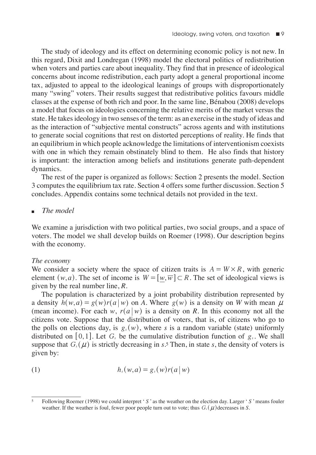The study of ideology and its effect on determining economic policy is not new. In this regard, Dixit and Londregan (1998) model the electoral politics of redistribution when voters and parties care about inequality. They find that in presence of ideological concerns about income redistribution, each party adopt a general proportional income tax, adjusted to appeal to the ideological leanings of groups with disproportionately many "swing" voters. Their results suggest that redistributive politics favours middle classes at the expense of both rich and poor. In the same line, Bénabou (2008) develops a model that focus on ideologies concerning the relative merits of the market versus the state. He takes ideology in two senses of the term: as an exercise in the study of ideas and as the interaction of "subjective mental constructs" across agents and with institutions to generate social cognitions that rest on distorted perceptions of reality. He finds that an equilibrium in which people acknowledge the limitations of interventionism coexists with one in which they remain obstinately blind to them. He also finds that history is important: the interaction among beliefs and institutions generate path-dependent dynamics.

The rest of the paper is organized as follows: Section 2 presents the model. Section 3 computes the equilibrium tax rate. Section 4 offers some further discussion. Section 5 concludes. Appendix contains some technical details not provided in the text.

## <sup>n</sup> *The model*

We examine a jurisdiction with two political parties, two social groups, and a space of voters. The model we shall develop builds on Roemer (1998). Our description begins with the economy.

## *The economy*

We consider a society where the space of citizen traits is  $A = W \times R$ , with generic element  $(w, a)$ . The set of income is  $W = [w, \overline{w}] \subset R$ . The set of ideological views is given by the real number line, *R*.

The population is characterized by a joint probability distribution represented by a density  $h(w, a) = g(w) r(a | w)$  on A. Where  $g(w)$  is a density on *W* with mean  $\mu$ (mean income). For each *w*,  $r(a|w)$  is a density on *R*. In this economy not all the citizens vote. Suppose that the distribution of voters, that is, of citizens who go to the polls on elections day, is  $g_s(w)$ , where *s* is a random variable (state) uniformly distributed on [0,1]. Let  $G_s$  be the cumulative distribution function of  $g_s$ . We shall suppose that  $G_s(\mu)$  is strictly decreasing in *s*.<sup>5</sup> Then, in state *s*, the density of voters is given by:

$$
(1) \t\t\t h_s(w,a) = g_s(w)r(a|w)
$$

<sup>5</sup> Following Roemer (1998) we could interpret ' *S* ' as the weather on the election day. Larger ' *S* ' means fouler weather. If the weather is foul, fewer poor people turn out to vote; thus  $G<sub>s</sub>(\mu)$  decreases in *S*.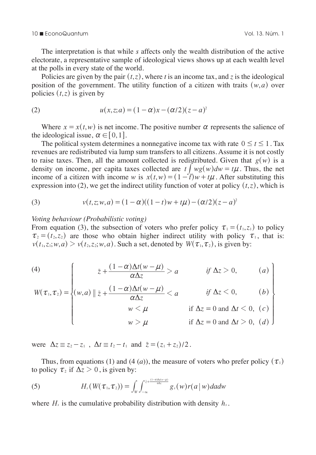#### 10 n EconoQuantum Vol. 13. Núm. 1

The interpretation is that while *s* affects only the wealth distribution of the active electorate, a representative sample of ideological views shows up at each wealth level at the polls in every state of the world.

Policies are given by the pair  $(t, z)$ , where *t* is an income tax, and *z* is the ideological position of the government. The utility function of a citizen with traits  $(w, a)$  over policies  $(t, z)$  is given by

(2) 
$$
u(x, z; a) = (1 - \alpha)x - (\alpha/2)(z - a)^2
$$

Where  $x = x(t, w)$  is net income. The positive number  $\alpha$  represents the salience of the ideological issue,  $\alpha \in [0, 1]$ .

The political system determines a nonnegative income tax with rate  $0 \le t \le 1$ . Tax revenues are redistributed via lump sum transfers to all citizens. Assume it is not costly to raise taxes. Then, all the amount collected is redistributed. Given that  $g(w)$  is a density on income, per capita taxes collected are  $t \int_{\mathbb{R}} wg(w)dw = t\mu$ . Thus, the net income of a citizen with income *w* is  $x(t, w) = (1 - t^2)w + t\mu$ . After substituting this expression into (2), we get the indirect utility function of voter at policy  $(t, z)$ , which is

(3) 
$$
v(t, z; w, a) = (1 - \alpha)((1 - t)w + t\mu) - (\alpha/2)(z - a)^2
$$

#### *Voting behaviour (Probabilistic voting)*

From equation (3), the subsection of voters who prefer policy  $\tau_1 = (t_1, z_1)$  to policy  $\tau_2 = (t_2, z_2)$  are those who obtain higher indirect utility with policy  $\tau_1$ , that is:  $v(t_1, z_1; w, a) > v(t_2, z_2; w, a)$ . Such a set, denoted by  $W(\tau_1, \tau_2)$ , is given by:

(4)  
\n
$$
W(\tau_1, \tau_2) = \begin{cases}\n\bar{z} + \frac{(1-\alpha)\Delta t(w-\mu)}{\alpha \Delta z} > a & \text{if } \Delta z > 0, \quad (a) \\
(w, a) \|\bar{z} + \frac{(1-\alpha)\Delta t(w-\mu)}{\alpha \Delta z} < a & \text{if } \Delta z < 0, \quad (b) \\
w < \mu & \text{if } \Delta z = 0 \text{ and } \Delta t < 0, (c) \\
w > \mu & \text{if } \Delta z = 0 \text{ and } \Delta t > 0, (d)\n\end{cases}
$$

were  $\Delta z \equiv z_2 - z_1$ ,  $\Delta t \equiv t_2 - t_1$  and  $\bar{z} = (z_1 + z_2)/2$ .

Thus, from equations (1) and (4 (*a*)), the measure of voters who prefer policy  $(\tau_1)$ to policy  $\tau_2$  if  $\Delta z > 0$ , is given by:

(5) 
$$
H_s(W(\tau_1,\tau_2))=\int_W\int_{-\infty}^{z+\frac{(1-\alpha)\Delta f(w-\mu)}{\alpha\Delta z}}g_s(w)r(a\,|\,w)dadw
$$

where  $H_s$  is the cumulative probability distribution with density  $h_s$ .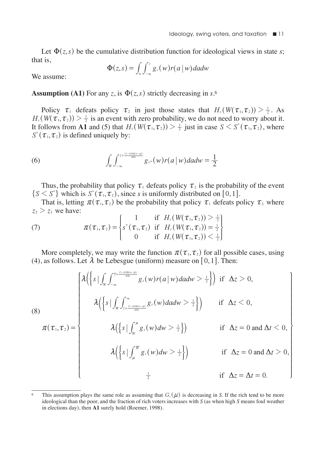Let  $\Phi(z, s)$  be the cumulative distribution function for ideological views in state *s*; that is,

$$
\Phi(z,s) = \int_{w} \int_{-\infty}^{z} g_{s}(w) r(a \mid w) da dw
$$

We assume:

**Assumption (A1)** For any *z*, is  $\Phi(z, s)$  strictly decreasing in *s*.<sup>6</sup>

Policy  $\tau_1$  defeats policy  $\tau_2$  in just those states that  $H_s(W(\tau_1, \tau_2)) > \frac{1}{2}$ . As  $H_s(W(\tau_1, \tau_2)) > \frac{1}{2}$  is an event with zero probability, we do not need to worry about it. It follows from **A1** and (5) that  $H_s(W(\tau_1, \tau_2)) > \frac{1}{2}$  just in case  $S \leq S^*(\tau_1, \tau_2)$ , where  $S^*(\tau_1, \tau_2)$  is defined uniquely by:

(6) 
$$
\int_{W} \int_{-\infty}^{z + \frac{(1-\alpha) \Delta h(w-\mu)}{\alpha \Delta z}} g_{s^*}(w) r(a \mid w) da dw = \frac{1}{2}
$$

Thus, the probability that policy  $\tau_1$  defeats policy  $\tau_2$  is the probability of the event  $\{S \leq S^*\}$  which is  $S^*(\tau_1, \tau_2)$ , since *s* is uniformly distributed on [0, 1].

That is, letting  $\pi(\tau_1, \tau_2)$  be the probability that policy  $\tau_1$  defeats policy  $\tau_2$  where  $z_2 > z_1$  we have:

(7) 
$$
\pi(\tau_1, \tau_2) = \begin{cases} 1 & \text{if } H_s(W(\tau_1, \tau_2)) > \frac{1}{2} \\ s^*(\tau_1, \tau_2) & \text{if } H_s(W(\tau_1, \tau_2)) = \frac{1}{2} \\ 0 & \text{if } H_s(W(\tau_1, \tau_2)) < \frac{1}{2} \end{cases}
$$

More completely, we may write the function  $\pi(\tau_1, \tau_2)$  for all possible cases, using (4), as follows. Let  $\lambda$  be Lebesgue (uniform) measure on [0, 1]. Then:

(8)  
\n
$$
\pi(\tau_1, \tau_2) = \begin{cases}\n\lambda\Big(\Big\{s \mid \int_{W} \int_{-\infty}^{\tau_+ \frac{(1-\alpha)\Delta(t-w)}{\alpha\Delta t}} g_s(w) r(a \mid w) da dw > \frac{1}{2}\Big\}\Big) & \text{if } \Delta z > 0, \\
\lambda\Big(\Big\{s \mid \int_{W} \int_{\frac{1}{z} + \frac{(1-\alpha)\Delta(t-w)}{\alpha\Delta t}}^{\infty} g_s(w) da dw > \frac{1}{2}\Big\}\Big) & \text{if } \Delta z < 0, \\
\lambda\Big(\Big\{s \mid \int_{W}^{\mu} g_s(w) dw > \frac{1}{2}\Big\}\Big) & \text{if } \Delta z = 0 \text{ and } \Delta t < 0, \\
\lambda\Big(\Big\{s \mid \int_{\mu}^{\overline{W}} g_s(w) dw > \frac{1}{2}\Big\}\Big) & \text{if } \Delta z = 0 \text{ and } \Delta t > 0, \\
\frac{1}{2} & \text{if } \Delta z = \Delta t = 0.\n\end{cases}
$$

<sup>6</sup> This assumption plays the same role as assuming that  $G_s(\mu)$  is decreasing in *S*. If the rich tend to be more ideological than the poor, and the fraction of rich voters increases with *S* (as when high *S* means foul weather in elections day), then **A1** surely hold (Roemer, 1998).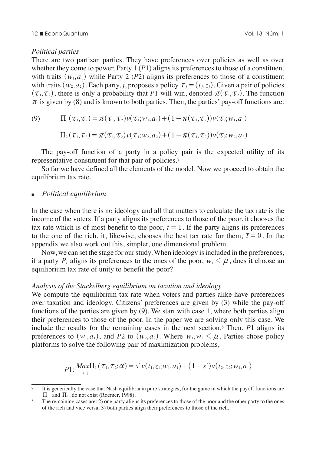#### 12 n EconoQuantum Vol. 13. Núm. 1

#### *Political parties*

There are two partisan parties. They have preferences over policies as well as over whether they come to power. Party 1 (*P*1) aligns its preferences to those of a constituent with traits  $(w_1, a_1)$  while Party 2 (*P*2) aligns its preferences to those of a constituent with traits  $(w_2, a_2)$ . Each party, *j*, proposes a policy  $\tau_i = (t_i, z_i)$ . Given a pair of policies  $(\tau_1, \tau_2)$ , there is only a probability that *P*1 will win, denoted  $\pi(\tau_1, \tau_2)$ . The function  $\pi$  is given by (8) and is known to both parties. Then, the parties' pay-off functions are:

(9) 
$$
\Pi_1(\tau_1,\tau_2)=\pi(\tau_1,\tau_2)v(\tau_1;w_1,a_1)+(1-\pi(\tau_1,\tau_2))v(\tau_2;w_1,a_1)
$$

$$
\Pi_2(\boldsymbol{\tau}_1,\boldsymbol{\tau}_2) = \boldsymbol{\pi}(\boldsymbol{\tau}_1,\boldsymbol{\tau}_2) \boldsymbol{v}(\boldsymbol{\tau}_1; \boldsymbol{w}_2, \boldsymbol{a}_2) + (1-\boldsymbol{\pi}(\boldsymbol{\tau}_1,\boldsymbol{\tau}_2)) \boldsymbol{v}(\boldsymbol{\tau}_2; \boldsymbol{w}_2, \boldsymbol{a}_2)
$$

The pay-off function of a party in a policy pair is the expected utility of its representative constituent for that pair of policies.7

So far we have defined all the elements of the model. Now we proceed to obtain the equilibrium tax rate.

#### <sup>n</sup>*Political equilibrium*

In the case when there is no ideology and all that matters to calculate the tax rate is the income of the voters. If a party aligns its preferences to those of the poor, it chooses the tax rate which is of most benefit to the poor,  $\bar{t} = 1$ . If the party aligns its preferences to the one of the rich, it, likewise, chooses the best tax rate for them,  $\bar{t} = 0$ . In the appendix we also work out this, simpler, one dimensional problem.

Now, we can set the stage for our study. When ideology is included in the preferences, if a party  $P_i$  aligns its preferences to the ones of the poor,  $w_i \leq \mu$ , does it choose an equilibrium tax rate of unity to benefit the poor?

#### *Analysis of the Stackelberg equilibrium on taxation and ideology*

We compute the equilibrium tax rate when voters and parties alike have preferences over taxation and ideology. Citizens' preferences are given by (3) while the pay-off functions of the parties are given by (9). We start with case 1, where both parties align their preferences to those of the poor. In the paper we are solving only this case. We include the results for the remaining cases in the next section.8 Then, *P*1 aligns its preferences to  $(w_1, a_1)$ , and *P2* to  $(w_2, a_2)$ . Where  $w_1, w_2 \leq \mu$ . Parties chose policy platforms to solve the following pair of maximization problems,

$$
P1: \frac{Max\Pi_{1}}{t_{1,21}}(\tau_{1}, \tau_{2}; \alpha) = s^{*}v(t_{1}, z_{1}; w_{1}, a_{1}) + (1 - s^{*})v(t_{2}, z_{2}; w_{1}, a_{1})
$$

<sup>7</sup> It is generically the case that Nash equilibria in pure strategies, for the game in which the payoff functions are  $\Pi_1$  and  $\Pi_2$ , do not exist (Roemer, 1998).

<sup>8</sup> The remaining cases are: 2) one party aligns its preferences to those of the poor and the other party to the ones of the rich and vice versa; 3) both parties align their preferences to those of the rich.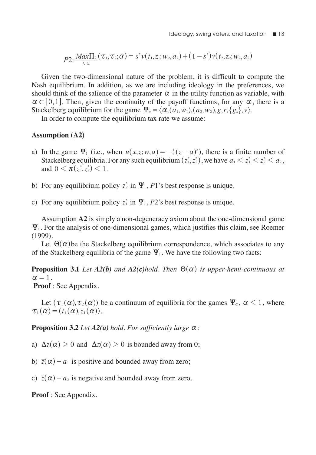$$
P2: \frac{Max\Pi_2}{\tau_{1,2}}(\tau_1, \tau_2; \alpha) = s^*v(t_1, z_1; w_2, a_2) + (1 - s^*)v(t_2, z_2; w_2, a_2)
$$

Given the two-dimensional nature of the problem, it is difficult to compute the Nash equilibrium. In addition, as we are including ideology in the preferences, we should think of the salience of the parameter  $\alpha$  in the utility function as variable, with  $\alpha \in [0,1]$ . Then, given the continuity of the payoff functions, for any  $\alpha$ , there is a Stackelberg equilibrium for the game  $\Psi_a = \langle \alpha, (a_1, w_1), (a_2, w_2), g, r, \{g_s\}, v \rangle$ .

In order to compute the equilibrium tax rate we assume:

#### **Assumption (A2)**

- a) In the game  $\Psi_1$  (i.e., when  $u(x, z; w, a) = -\frac{1}{2}(z-a)^2$ ), there is a finite number of Stackelberg equilibria. For any such equilibrium  $(z_1, z_2)$ , we have  $a_1 \leq z_1^* \leq z_2^* \leq a_2$ , and  $0 < \pi(z_1^*, z_2^*) < 1$ .
- b) For any equilibrium policy  $z_2^*$  in  $\Psi_1$ , *P*1's best response is unique.
- c) For any equilibrium policy  $z_i^*$  in  $\Psi_1$ ,  $P2$ 's best response is unique.

Assumption **A2** is simply a non-degeneracy axiom about the one-dimensional game  $\Psi_1$ . For the analysis of one-dimensional games, which justifies this claim, see Roemer (1999).

Let  $\Theta(\alpha)$  be the Stackelberg equilibrium correspondence, which associates to any of the Stackelberg equilibria of the game  $\Psi_1$ . We have the following two facts:

**Proposition 3.1** *Let A2(b) and A2(c)hold. Then*  $\Theta(\alpha)$  *is upper-hemi-continuous at*  $\alpha = 1$ .

**Proof** : See Appendix.

Let  $(\tau_1(\alpha), \tau_2(\alpha))$  be a continuum of equilibria for the games  $\Psi_\alpha$ ,  $\alpha$  < 1, where  $\tau_1 (\alpha) = (t_1 (\alpha), z_1 (\alpha)).$ 

**Proposition 3.2** *Let*  $A2(a)$  *hold. For sufficiently large*  $\alpha$ *:* 

a)  $\Delta z(\alpha) > 0$  and  $\Delta z(\alpha) > 0$  is bounded away from 0;

b)  $\overline{z}(\alpha) - a_1$  is positive and bounded away from zero;

c)  $\overline{z}(\alpha) - a_2$  is negative and bounded away from zero.

**Proof** : See Appendix.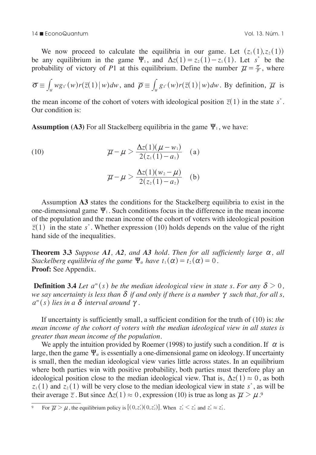We now proceed to calculate the equilibria in our game. Let  $(z_1(1), z_2(1))$ be any equilibrium in the game  $\Psi_1$ , and  $\Delta z(1) = z_2(1) - z_1(1)$ . Let *s*<sup>\*</sup> be the probability of victory of P1 at this equilibrium. Define the number  $\overline{\mu} = \frac{\sigma}{\overline{\rho}}$ , where

$$
\overline{\sigma} \equiv \int_{w} wg_{s}(w)r(\overline{z}(1) \mid w)dw, \text{ and } \overline{\rho} \equiv \int_{w} g_{s}(w)r(\overline{z}(1) \mid w)dw. \text{ By definition, } \overline{\mu} \text{ is}
$$

the mean income of the cohort of voters with ideological position  $\overline{z}(1)$  in the state *s*<sup>\*</sup>. Our condition is:

**Assumption (A3)** For all Stackelberg equilibria in the game  $\Psi_1$ , we have:

(10) 
$$
\overline{\mu} - \mu > \frac{\Delta z(1)(\mu - w_1)}{2(z_1(1) - a_1)} \quad (a)
$$

$$
\pi - \mu > \frac{\Delta z(1)(w_2 - \mu)}{2(z_2(1) - a_2)} \quad (b)
$$

Assumption **A3** states the conditions for the Stackelberg equilibria to exist in the one-dimensional game  $\Psi_1$ . Such conditions focus in the difference in the mean income of the population and the mean income of the cohort of voters with ideological position  $\overline{z}(1)$  in the state *s*<sup>\*</sup>. Whether expression (10) holds depends on the value of the right hand side of the inequalities.

**Theorem 3.3** Suppose A1, A2, and A3 hold. Then for all sufficiently large  $\alpha$ , all *Stackelberg equilibria of the game*  $\Psi_{\alpha}$  *have*  $t_1(\alpha) = t_2(\alpha) = 0$ . **Proof:** See Appendix.

**Definition 3.4** *Let*  $a^m(s)$  *be the median ideological view in state s. For any*  $\delta > 0$ , *we say uncertainty is less than*  $\delta$  *if and only if there is a number*  $\gamma$  *such that, for all s,*  $a^m(s)$  lies in a  $\delta$  interval around  $\gamma$ .

If uncertainty is sufficiently small, a sufficient condition for the truth of (10) is: *the mean income of the cohort of voters with the median ideological view in all states is greater than mean income of the population.*

We apply the intuition provided by Roemer (1998) to justify such a condition. If  $\alpha$  is large, then the game  $\Psi_\alpha$  is essentially a one-dimensional game on ideology. If uncertainty is small, then the median ideological view varies little across states. In an equilibrium where both parties win with positive probability, both parties must therefore play an ideological position close to the median ideological view. That is,  $\Delta z(1) \approx 0$ , as both  $z_1(1)$  and  $z_2(1)$  will be very close to the median ideological view in state *s*<sup>\*</sup>, as will be their average  $\overline{z}$ . But since  $\Delta z(1) \approx 0$ , expression (10) is true as long as  $\overline{\mu} > \mu$ .<sup>9</sup>

<sup>&</sup>lt;sup>9</sup> For  $\overline{\mu} > \mu$ , the equilibrium policy is  $[(0, z_1^*)(0, z_2^*)]$ . When  $z_1^* < z_2^*$  and  $z_1^* \approx z_2^*$ .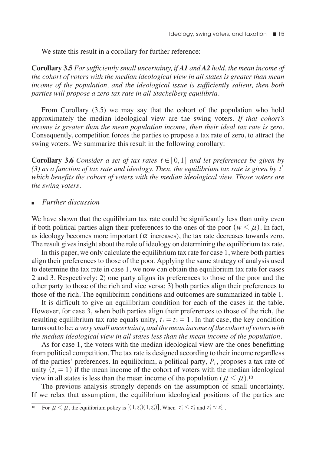We state this result in a corollary for further reference:

**Corollary 3.5** *For sufficiently small uncertainty, if A1 and A2 hold, the mean income of the cohort of voters with the median ideological view in all states is greater than mean income of the population, and the ideological issue is sufficiently salient, then both parties will propose a zero tax rate in all Stackelberg equilibria.*

From Corollary (3.5) we may say that the cohort of the population who hold approximately the median ideological view are the swing voters. *If that cohort's income is greater than the mean population income, then their ideal tax rate is zero.* Consequently, competition forces the parties to propose a tax rate of zero, to attract the swing voters. We summarize this result in the following corollary:

**Corollary 3.6** *Consider a set of tax rates*  $t \in [0,1]$  *and let preferences be given by* (3) as a function of tax rate and ideology. Then, the equilibrium tax rate is given by  $t^*$ *which benefits the cohort of voters with the median ideological view. Those voters are the swing voters.*

#### <sup>n</sup>*Further discussion*

We have shown that the equilibrium tax rate could be significantly less than unity even if both political parties align their preferences to the ones of the poor  $(w \lt \mu)$ . In fact, as ideology becomes more important  $(\alpha$  increases), the tax rate decreases towards zero. The result gives insight about the role of ideology on determining the equilibrium tax rate.

In this paper, we only calculate the equilibrium tax rate for case 1, where both parties align their preferences to those of the poor. Applying the same strategy of analysis used to determine the tax rate in case 1, we now can obtain the equilibrium tax rate for cases 2 and 3. Respectively: 2) one party aligns its preferences to those of the poor and the other party to those of the rich and vice versa; 3) both parties align their preferences to those of the rich. The equilibrium conditions and outcomes are summarized in table 1.

It is difficult to give an equilibrium condition for each of the cases in the table. However, for case 3, when both parties align their preferences to those of the rich, the resulting equilibrium tax rate equals unity,  $t_1 = t_2 = 1$ . In that case, the key condition turns out to be: *a very small uncertainty, and the mean income of the cohort of voters with the median ideological view in all states less than the mean income of the population.*

As for case 1, the voters with the median ideological view are the ones benefitting from political competition. The tax rate is designed according to their income regardless of the parties' preferences. In equilibrium, a political party,  $P_i$ , proposes a tax rate of unity  $\left(t_i = 1\right)$  if the mean income of the cohort of voters with the median ideological view in all states is less than the mean income of the population  $(\overline{\mu} \le \mu)$ .<sup>10</sup>

The previous analysis strongly depends on the assumption of small uncertainty. If we relax that assumption, the equilibrium ideological positions of the parties are

<sup>10</sup> For  $\overline{\mu} \le \mu$ , the equilibrium policy is  $[(1, z_1)(1, z_2)]$ . When  $z_1^* \le z_2^*$  and  $z_1^* \approx z_2^*$ .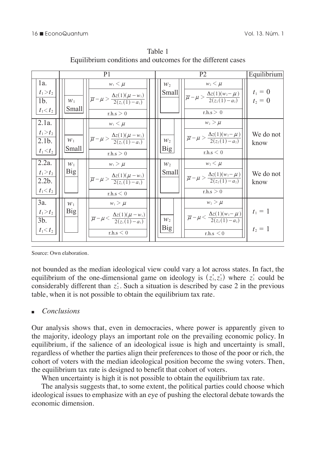|                                                                                             | P <sub>1</sub>                 |                                                                                                                                                                                        |  |                                | Equilibrium                                                                                                                                                                                                        |                                        |
|---------------------------------------------------------------------------------------------|--------------------------------|----------------------------------------------------------------------------------------------------------------------------------------------------------------------------------------|--|--------------------------------|--------------------------------------------------------------------------------------------------------------------------------------------------------------------------------------------------------------------|----------------------------------------|
| $1a$ .<br>$t_1 > t_2$<br>1 <sub>b</sub><br>$t_1 < t_2$                                      | $W_1$<br><b>Small</b>          | $w_1 \leq \mu$<br>$\left \overline{\mu} - \mu > \frac{\Delta z(1)(\mu - w_1)}{2(z_1(1) - a_1)}\right $<br>rh.s > 0                                                                     |  | $W_2$<br><b>Small</b>          | $w_2 \leq \mu$<br>$\left \overline{\mu} - \mu > \frac{\Delta z(1)(w_2 - \mu)}{2(z_2(1) - a_2)}\right  \right $<br>rh.s > 0                                                                                         | $t_1 = 0$<br>$t_2 = 0$                 |
| 2.1a.<br>$t_1 > t_2$<br>$2.1b$ .<br>$t_1 < t_2$<br>2.2a.<br>$t_1 > t_2$<br>2.2 <sub>b</sub> | $W_1$<br>Small<br>$W_1$<br>Big | $w_1 \leq \mu$<br>$\left \overline{\mu} - \mu > \frac{\Delta z(1)(\mu - w_1)}{2(z_1(1) - a_1)}\right $<br>r.h.s > 0<br>$w_1 > \mu$<br>$\frac{\Delta z(1)(\mu - w_1)}{2(z_1(1) - a_1)}$ |  | $W_2$<br>Big<br>$W_2$<br>Small | $w_2 > \mu$<br>$\frac{\overline{\mu}}{\mu} - \mu > \frac{\Delta z(1)(w_2 - \mu)}{2(z_2(1) - a_2)}$<br>r.h.s < 0<br>$w_2 \leq \mu$<br>$\left \frac{\mu}{\mu-\mu}>\frac{\Delta z(1)(w_2-\mu)}{2(z_1(1)-a_2)}\right $ | We do not<br>know<br>We do not<br>know |
| $t_1 < t_2$                                                                                 |                                | r.h.s < 0                                                                                                                                                                              |  |                                | rh.s > 0                                                                                                                                                                                                           |                                        |
| 3a.<br>$t_1 > t_2$<br>3 <sub>b</sub><br>$t_1 < t_2$                                         | $W_1$<br>Big                   | $w_1 > \mu$<br>$\left \overline{\mu}-\mu\right <\frac{\Delta z(1)(\mu-w_1)}{2(z_1(1)-\alpha)}\right $<br>r.h.s < 0                                                                     |  | $W_2$<br><b>Big</b>            | $w_2 > \mu$<br>$\frac{\overline{\mu}}{\overline{\mu}} - \mu < \frac{\Delta z(1)(w_2 - \mu)}{2(z_2(1) - a_2)}$<br>r.h.s < 0                                                                                         | $t_1 = 1$<br>$t_2 = 1$                 |

Table 1 Equilibrium conditions and outcomes for the different cases

Source: Own elaboration.

considerably different than  $z_2$ . Such a situation is described by case 2 in the previous table, when it is not possible to obtain the equilibrium tax rate. not bounded as the median ideological view could vary a lot across states. In fact, the equilibrium of the one-dimensional game on ideology is  $(z_1^*, z_2^*)$  where  $z_1^*$  could be

## <sup>n</sup>*Conclusions*

Our analysis shows that, even in democracies, where power is apparently given to equilibrium, if the salience of an ideological issue is high and uncertainty is small, the majority, ideology plays an important role on the prevailing economic policy. In regardless of whether the parties align their preferences to those of the poor or rich, the cohort of voters with the median ideological position become the swing voters. Then, the equilibrium tax rate is designed to benefit that cohort of voters.

When uncertainty is high it is not possible to obtain the equilibrium tax rate.

The analysis suggests that, to some extent, the political parties could choose which ideological issues to emphasize with an eye of pushing the electoral debate towards the economic dimension.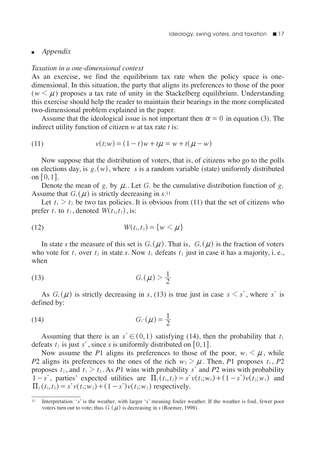## <sup>n</sup>*Appendix*

#### *Taxation in a one-dimensional context*

As an exercise, we find the equilibrium tax rate when the policy space is onedimensional. In this situation, the party that aligns its preferences to those of the poor  $(w \leq \mu)$  proposes a tax rate of unity in the Stackelberg equilibrium. Understanding this exercise should help the reader to maintain their bearings in the more complicated two-dimensional problem explained in the paper.

Assume that the ideological issue is not important then  $\alpha = 0$  in equation (3). The indirect utility function of citizen *w* at tax rate *t* is:

(11) 
$$
v(t; w) = (1 - t)w + t\mu = w + t(\mu - w)
$$

Now suppose that the distribution of voters, that is, of citizens who go to the polls on elections day, is  $g_s(w)$ , where *s* is a random variable (state) uniformly distributed on  $[0, 1]$ .

Denote the mean of  $g_s$  by  $\mu_s$ . Let  $G_s$  be the cumulative distribution function of  $g_s$ Assume that  $G_s(\mu)$  is strictly decreasing in *s*.<sup>11</sup>

Let  $t_1 > t_2$  be two tax policies. It is obvious from (11) that the set of citizens who prefer  $t_1$  to  $t_2$ , denoted  $W(t_1, t_2)$ , is:

(12) 
$$
W(t_1, t_2) = \{w < \mu\}
$$

In state *s* the measure of this set is  $G_s(\mu)$ . That is,  $G_s(\mu)$  is the fraction of voters who vote for  $t_1$  over  $t_2$  in state *s*. Now  $t_1$  defeats  $t_2$  just in case it has a majority, i. e., when

$$
(13) \tGs(\mu) > \frac{1}{2}
$$

As  $G_s(\mu)$  is strictly decreasing in *s*, (13) is true just in case  $s \leq s^*$ , where *s*<sup>\*</sup> is defined by:

$$
(14) \tGs(\mu) = \frac{1}{2}
$$

Assuming that there is an  $s^* \in (0, 1)$  satisfying (14), then the probability that  $t_1$ defeats  $t_2$  is just  $s^*$ , since  $s$  is uniformly distributed on [0,1].

Now assume the P1 aligns its preferences to those of the poor,  $w_1 \leq \mu$ , while *P*2 aligns its preferences to the ones of the rich  $w_2 > \mu$ . Then, *P*1 proposes  $t_1$ , *P2* proposes  $t_2$ , and  $t_1 > t_2$ . As *P*1 wins with probability *s*<sup>\*</sup> and *P*2 wins with probability  $1 - s^*$ , parties' expected utilities are  $\prod_1(t_1, t_2) = s^* v(t_1; w_1) + (1 - s^*) v(t_2; w_1)$  and  $\Pi_2(t_1, t_2) = s^* v(t_1; w_2) + (1 - s^*) v(t_2; w_2)$  respectively.

<sup>11</sup> Interpretation: '*s*' is the weather, with larger '*s*' meaning fouler weather. If the weather is foul, fewer poor voters turn out to vote; thus  $G_s(\mu)$  is decreasing in *s* (Roemer, 1998).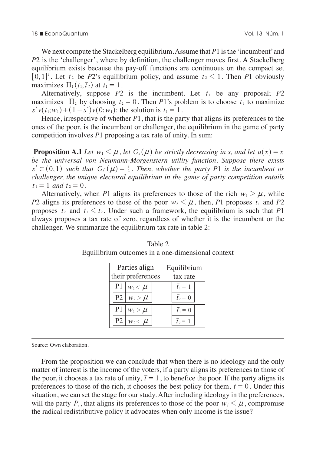We next compute the Stackelberg equilibrium. Assume that  $P1$  is the 'incumbent' and *P*2 is the 'challenger', where by definition, the challenger moves first. A Stackelberg in  $\alpha$ . equilibrium exists because the pay-off functions are continuous on the compact set  $\begin{bmatrix} 0 & 1 \end{bmatrix}^2$ ,  $\begin{bmatrix} 1 & 0 \end{bmatrix}$ ,  $\begin{bmatrix} 1 & 0 \end{bmatrix}$ ,  $\begin{bmatrix} 1 & 0 \end{bmatrix}$ ,  $\begin{bmatrix} 1 & 0 \end{bmatrix}$ ,  $\begin{bmatrix} 1 & 0 \end{bmatrix}$ ,  $\begin{bmatrix} 1 &$  $[0, 1]^2$ . Let  $\overline{t}_2$  be *P*2's equilibrium policy, and assume  $\overline{t}_2 < 1$ . Then *P*1 obviously metrics  $\Pi_i$  (*t*  $\overline{t}_2$ ) at *t*  $\overline{t}_1$ maximizes  $\Pi_1 (t_1, \bar{t}_2)$  at  $t_1 = 1$ .  $\cdot$   $\overline{ }$ . *z w* 2 1 equilibrium policy, and assume  $\overline{t}_2 < 1$ . Then *F* h h  $\cdot$  1 iic  $\overline{t}_2 < 1$ . Then *P*  $\ddot{\phantom{a}}$  $\overline{\text{Th}}$  $\mathbf{h}$   $\mathbf{h}$ h  $h \sim D1$ 

Alternatively, suppose  $P2$  is the incumbent. Let  $t_1$  be any proposal;  $P2$ maximizes  $\Pi_2$  by choosing  $t_2 = 0$ . Then *P*1's problem is to choose  $t_1$  to maximize  $s^* v(t_1; w_1) + (1 - s^*) v(0; w_1)$ : the solution is  $t_1 = 1$ . We do not  $\overline{h}$ 

Hence, irrespective of whether  $P1$ , that is the party that aligns its preferences to the ones of the poor, is the incumbent or challenger, the equilibrium in the game of party competition involves  $P1$  proposing a tax rate of unity. In sum: *P*1, that is the party that aligns its preferences to the  $\frac{1}{2}$   $\frac{1}{2}$  $2111$  $\int$  whether  $P1$ , that 1 1  $\cdot$   $\cdot$  $\overline{D}$  1 , umu <sup>2</sup>1, that is the party that aligns its prefer ns pr t aligns its prefere  $\mathfrak{r}$   $\mathfrak{p}$ cicic

**Proposition A.1** Let  $w_1 \leq \mu$ , let  $G_s(\mu)$  be strictly decreasing in s, and let  $u(x) = x$ be the universal von Neumann-Morgenstern utility function. Suppose there exists  $s^* \in (0,1)$  such that  $G_s(\mu) = \frac{1}{2}$ . Then, whether the party P1 is the incumbent or *challenger, the unique electoral equilibrium in the game of party competition entails challenger, the unique electoral equilibrium in the game of party competition entails*  $\overline{t}_1 = 1$  and  $\overline{t}_2 = 0$ . learnann-Morgenstern utility function. Suppose to *z and le*<br> *leumann-Morgenstern utility function. Suppose to* 1

Alternatively, when P1 aligns its preferences to those of the rich  $w_1 > \mu$ , while<br>aligns its preferences to those of the poor  $w_2 < \mu$  then P1 proposes t, and P2 *P*2 aligns its preferences to those of the poor  $w_2 < \mu$ , then, *P*1 proposes  $t_1$  and *P2* proposes  $t_2$  and  $t_1 < t_2$ . Under such a framework, the equilibrium is such that *P*1 always proposes a tax rate of zero, regardless of whether it is the incumbent or the challenger. We summarize the equilibrium tax rate in table 2:

|                | Parties align     | Equilibrium |                 |  |
|----------------|-------------------|-------------|-----------------|--|
|                | their preferences | tax rate    |                 |  |
| P <sub>1</sub> | $W_1 \leq \mu$    |             | $\bar{t}_1 = 1$ |  |
| P <sub>2</sub> | $W_2 > \mu$       |             | $\bar{t}_2 = 0$ |  |
| P <sub>1</sub> | $W_1 > \mu$       |             | $\bar{t}_1=0$   |  |
| P <sub>2</sub> | $w_2 < \mu$       |             |                 |  |

Table 2 Equilibrium outcomes in a one-dimensional context

Source: Own elaboration.

From the proposition we can conclude that when there is no ideology and the only matter of interest is the income of the voters, if a party aligns its preferences to those of the poor, it chooses a tax rate of unity,  $\bar{t} = 1$ , to benefice the poor. If the party aligns its preferences to those of the rich, it chooses the best policy for them,  $\bar{t} = 0$ . Under this situation, we can set the stage for our study. After including ideology in the preferences, will the party  $P_i$ , that aligns its preferences to those of the poor  $w_i \leq \mu$ , compromise the radical redistributive policy it advocates when only income is the issue?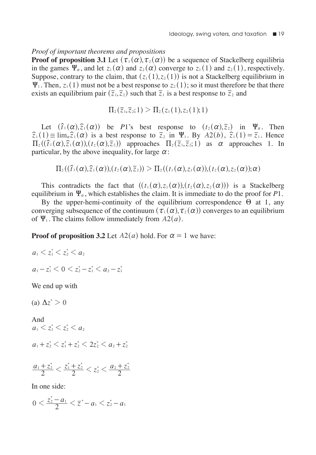## *Proof of important theorems and propositions*

**Proof of proposition 3.1** Let  $(\tau_1(\alpha), \tau_2(\alpha))$  be a sequence of Stackelberg equilibria in the games  $\Psi_{\alpha}$ , and let  $z_1 (\alpha)$  and  $z_2 (\alpha)$  converge to  $z_1 (1)$  and  $z_2 (1)$ , respectively. Suppose, contrary to the claim, that  $(z_1(1), z_2(1))$  is not a Stackelberg equilibrium in  $\Psi_1$ . Then,  $z_1$  (1) must not be a best response to  $z_2$  (1); so it must therefore be that there exists an equilibrium pair  $(\tilde{z}_1, \tilde{z}_2)$  such that  $\tilde{z}_1$  is a best response to  $\tilde{z}_2$  and

$$
\Pi_2(\tilde{z}_1,\tilde{z}_2;1) > \Pi_2(z_1(1),z_2(1);1)
$$

Let  $(\hat{t}_1(\alpha), \hat{z}_1(\alpha))$  be *P*1's best response to  $(t_2(\alpha), \hat{z}_2)$  in  $\Psi_\alpha$ . Then  $\hat{z}_1$  (1)  $\equiv \lim_{\alpha} \hat{z}_1(\alpha)$  is a best response to  $\tilde{z}_2$  in  $\Psi_1$ . By  $A_2(b)$ ,  $\hat{z}_1(1) = \tilde{z}_1$ . Hence  $\Pi_2 ( ( \hat{t}_1 (\alpha), \hat{z}_1 (\alpha)), (t_2 (\alpha), \tilde{z}_2) )$  approaches  $\Pi_2 (\tilde{z}_1, \tilde{z}_2; 1 )$  as  $\alpha$  approaches 1. In particular, by the above inequality, for large  $\alpha$ :

$$
\Pi_2((\hat{t}_1(\alpha),\hat{z}_1(\alpha)),(t_2(\alpha),\tilde{z}_2)) > \Pi_2((t_1(\alpha),z_1(\alpha)),(t_2(\alpha),z_2(\alpha));\alpha)
$$

This contradicts the fact that  $((t_1(\alpha), z_1(\alpha)), (t_2(\alpha), z_2(\alpha)))$  is a Stackelberg equilibrium in  $\Psi_{\alpha}$ , which establishes the claim. It is immediate to do the proof for P1.

By the upper-hemi-continuity of the equilibrium correspondence  $\Theta$  at 1, any converging subsequence of the continuum  $(\tau_1 (\alpha), \tau_2 (\alpha))$  converges to an equilibrium of  $\Psi_1$ . The claims follow immediately from  $A_2(a)$ .

**Proof of proposition 3.2** Let  $A2(a)$  hold. For  $\alpha = 1$  we have:

$$
a_1 < z_1^* < z_2^* < a_2
$$
\n
$$
a_1 - z_1^* < 0 < z_2^* - z_1^* < a_2 - z_1^*
$$

We end up with

(a)  $\Delta z^* > 0$ 

And  $a_1 < z_1^* < z_2^* < a_2$  $a_1 + z_2^* < z_1^* + z_2^* < 2z_2^* < a_2 + z_2^*$ 

$$
\frac{a_1+z_2^*}{2} < \frac{z_1^*+z_2^*}{2} < z_2^* < \frac{a_2+z_2^*}{2}
$$

In one side:

$$
0 < \frac{z_2^*-a_1}{2} < \overline{z}^*-a_1 < z_2^*-a_1
$$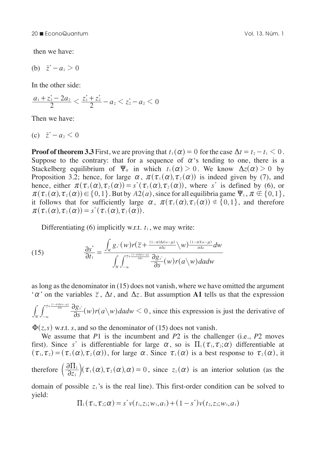then we have:

(b) 
$$
\bar{z}^* - a_1 > 0
$$

In the other side:

$$
\frac{a_1+z_2^*-2a_2}{2}<\frac{z_1^*+z_2^*}{2}-a_2
$$

Then we have:

$$
(c) \quad \bar{z}^*-a_2<0
$$

**Proof of theorem 3.3** First, we are proving that  $t_1 (\alpha) = 0$  for the case  $\Delta t = t_2 - t_1 \leq 0$ . Suppose to the contrary: that for a sequence of  $\alpha$ 's tending to one, there is a Stackelberg equilibrium of  $\Psi_{\alpha}$  in which  $t_1(\alpha) > 0$ . We know  $\Delta z(\alpha) > 0$  by Proposition 3.2; hence, for large  $\alpha$ ,  $\pi(\tau_1(\alpha), \tau_2(\alpha))$  is indeed given by (7), and hence, either  $\pi(\tau_1(\alpha), \tau_2(\alpha)) = s^*(\tau_1(\alpha), \tau_2(\alpha))$ , where *s*<sup>\*</sup> is defined by (6), or  $\pi(\tau_1(\alpha), \tau_2(\alpha)) \in \{0, 1\}$ . But by  $A2(a)$ , since for all equilibria game  $\Psi_1$ ,  $\pi \notin \{0, 1\}$ , it follows that for sufficiently large  $\alpha$ ,  $\pi(\tau_1(\alpha), \tau_2(\alpha)) \notin \{0,1\}$ , and therefore  $\pi(\tau_1(\alpha), \tau_2(\alpha)) = s^*(\tau_1(\alpha), \tau_2(\alpha)).$ 

Differentiating  $(6)$  implicitly w.r.t.  $t_1$ , we may write:

(15) 
$$
\frac{\partial s^*}{\partial t_1} = \frac{\int_W g_s^*(w) r(\overline{z} + \frac{(1-\alpha)\Delta t(w-\mu)}{\alpha \Delta z} \setminus W) \frac{(1-\alpha)(w-\mu)}{\alpha \Delta z} dw}{\int_W \int_{-\infty}^{\frac{\pi}{z} + \frac{(1-\alpha)\Delta t(w-\mu)}{\alpha \Delta z}} \frac{\partial g_s^*}{\partial s}(w) r(a \setminus w) dadw}
$$

as long as the denominator in (15) does not vanish, where we have omitted the argument  $\alpha'$  on the variables  $\overline{z}$ ,  $\Delta t$ , and  $\Delta z$ . But assumption **A1** tells us that the expression

 $\int_{-\infty}^{\pi\sqrt{\frac{2+\frac{(1-\alpha)M(w-\mu)}{\alpha\Delta x}}{2}}}\frac{\partial g_{s^*}}{\partial s}(w)r(a\!\setminus\!w)$ dadw  $< 0$  $\frac{1-\alpha)\Delta t(w-\mu)}{\alpha\Delta z}$   $\partial g_{s^*}$  $\int_{-\infty}^{\frac{\pi}{\epsilon}+\frac{(1-\alpha)\Delta (w-\mu)}{\alpha\Delta z}} \!\frac{\partial g_{s^*}}{\partial s}(w) r(a\!\setminus\!w) da dw <\!0$  $\int_{\mathbb{R}} \int_{0}^{\frac{\pi}{2} + \frac{(1-\alpha)M(\alpha-\mu)}{\alpha\lambda}} \frac{\partial g_s}{\partial s}(w)r(a\gamma) da dw < 0$ , since this expression is just the derivative of

 $\Phi(z, s)$  w.r.t. *s*, and so the denominator of (15) does not vanish.

We assume that *P*1 is the incumbent and *P*2 is the challenger (i.e., *P*2 moves first). Since *s*<sup>\*</sup> is differentiable for large  $\alpha$ , so is  $\Pi_1 (\tau_1, \tau_2; \alpha)$  differentiable at  $(\tau_1, \tau_2) = (\tau_1(\alpha), \tau_2(\alpha))$ , for large  $\alpha$ . Since  $\tau_1(\alpha)$  is a best response to  $\tau_2(\alpha)$ , it therefore  $\left(\frac{\partial \Pi_1}{\partial z_1}\right)(\tau_1(\alpha), \tau_2(\alpha), \alpha) = 0$ , since  $z_1(\alpha)$  is an interior solution (as the

domain of possible  $z_1$ 's is the real line). This first-order condition can be solved to yield:  $\frac{1}{2}$ ,  $\frac{1}{2}$ ,  $\frac{1}{2}$   $\frac{1}{2}$   $\frac{1}{2}$   $\frac{1}{2}$   $\frac{1}{2}$   $\frac{1}{2}$   $\frac{1}{2}$   $\frac{1}{2}$   $\frac{1}{2}$   $\frac{1}{2}$   $\frac{1}{2}$   $\frac{1}{2}$   $\frac{1}{2}$   $\frac{1}{2}$   $\frac{1}{2}$   $\frac{1}{2}$   $\frac{1}{2}$   $\frac{1}{2}$   $\frac{1}{2}$   $\frac{1}{2}$ 

$$
\Pi_1(\tau_1,\tau_2;\alpha)=s^*v(t_1,z_1;w_1,a_1)+(1-s^*)v(t_2,z_2;w_1,a_1)
$$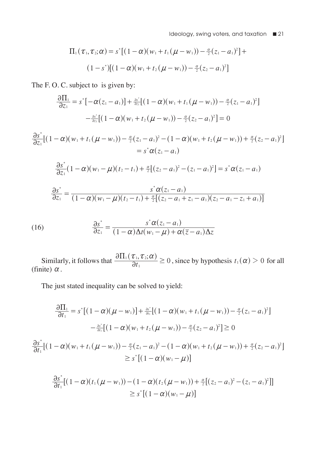Ideology, swing voters, and taxation  $\blacksquare$  21

$$
\Pi_1(\tau_1, \tau_2; \alpha) = s^*[(1-\alpha)(w_1 + t_1(\mu - w_1)) - \frac{\alpha}{2}(z_1 - a_1)^2] +
$$
  

$$
(1-s^*)[(1-\alpha)(w_1 + t_2(\mu - w_1)) - \frac{\alpha}{2}(z_2 - a_1)^2]
$$

The F. O. C. subject to is given by:

$$
\frac{\partial \Pi_1}{\partial z_1} = s^* \left[ -\alpha (z_1 - a_1) \right] + \frac{a s^*}{a z_1} \left[ (1 - \alpha) (w_1 + t_1 (\mu - w_1)) - \frac{\alpha}{2} (z_1 - a_1)^2 \right] - \frac{a s^*}{a z_1} \left[ (1 - \alpha) (w_1 + t_2 (\mu - w_1)) - \frac{\alpha}{2} (z_2 - a_1)^2 \right] = 0
$$

$$
\frac{\partial s^*}{\partial z_1}[(1-\alpha)(w_1+t_1(\mu-w_1))-\frac{\alpha}{2}(z_1-a_1)^2-(1-\alpha)(w_1+t_2(\mu-w_1))+\frac{\alpha}{2}(z_2-a_1)^2]
$$
  
=  $s^*\alpha(z_1-a_1)$ 

$$
\frac{\partial s^*}{\partial z_1}(1-\alpha)(w_1-\mu)(t_2-t_1)+\frac{\alpha}{2}[(z_2-a_1)^2-(z_1-a_1)^2]=s^*\alpha(z_1-a_1)
$$

$$
\frac{\partial s^*}{\partial z_1} = \frac{s^* \alpha(z_1 - a_1)}{(1 - \alpha)(w_1 - \mu)(t_2 - t_1) + \frac{\alpha}{2}[(z_2 - a_1 + z_1 - a_1)(z_2 - a_1 - z_1 + a_1)]}
$$

(16) 
$$
\frac{\partial s^*}{\partial z_1} = \frac{s^* \alpha (z_1 - a_1)}{(1 - \alpha) \Delta t (w_1 - \mu) + \alpha (\overline{z} - a_1) \Delta z}
$$

Similarly, it follows that  $\frac{\partial \Pi_1(\tau_1, \tau_2; \alpha)}{\partial t_1} \ge 0$ , since by hypothesis  $t_1(\alpha) > 0$  for all (finite)  $\alpha$ .

The just stated inequality can be solved to yield:

$$
\frac{\partial \Pi_1}{\partial t_1} = s^* \left[ (1 - \alpha)(\mu - w_1) \right] + \frac{a s^*}{a_{t_1}} \left[ (1 - \alpha)(w_1 + t_1(\mu - w_1)) - \frac{\alpha}{2}(z_1 - a_1)^2 \right]
$$

$$
- \frac{a s^*}{a_{t_1}} \left[ (1 - \alpha)(w_1 + t_2(\mu - w_1)) - \frac{\alpha}{2}(z_2 - a_1)^2 \right] \ge 0
$$

$$
\frac{\partial s^*}{\partial t_1} \left[ (1 - \alpha)(w_1 + t_1(\mu - w_1)) - \frac{\alpha}{2}(z_1 - a_1)^2 - (1 - \alpha)(w_1 + t_2(\mu - w_1)) + \frac{\alpha}{2}(z_2 - a_1)^2 \right]
$$

$$
\ge s^* \left[ (1 - \alpha)(w_1 - \mu) \right]
$$

$$
\frac{\partial s^*}{\partial t_1}[(1-\alpha)(t_1(\mu-w_1))-(1-\alpha)(t_2(\mu-w_1))+\frac{\alpha}{2}[(z_2-a_1)^2-(z_1-a_1)^2]]
$$
  
\n
$$
\geq s^*[(1-\alpha)(w_1-\mu)]
$$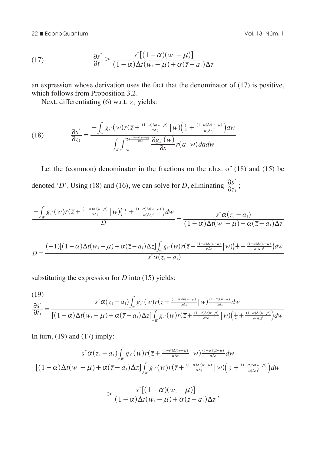(17) 
$$
\frac{\partial s^*}{\partial t_1} \ge \frac{s^*[(1-\alpha)(w_1-\mu)]}{(1-\alpha)\Delta t(w_1-\mu)+\alpha(\overline{z}-a_1)\Delta z}
$$

an expression whose derivation uses the fact that the denominator of (17) is positive, which follows from Proposition 3.2.

Next, differentiating (6) w.r.t.  $z_1$  yields:

(18) 
$$
\frac{\partial s^*}{\partial z_1} = \frac{-\int_W g_{s^*}(w)r(\overline{z} + \frac{(1-\alpha)\Delta t(w-\mu)}{\alpha\Delta z} \mid w) \left(\frac{1}{2} + \frac{(1-\alpha)\Delta t(w-\mu)}{\alpha(\Delta z)^2}\right) dw}{\int_W \int_{-\infty}^{z + \frac{(1-\alpha)\Delta t(w-\mu)}{\alpha\Delta z}} \frac{\partial g_{s^*}(w)}{\partial s} r(a \mid w) da dw}
$$

Let the (common) denominator in the fractions on the r.h.s. of (18) and (15) be denoted '*D*'. Using (18) and (16), we can solve for *D*, eliminating  $\frac{\partial s^*}{\partial z_1}$  $\frac{\partial s^*}{\partial z_1};$ 

$$
\frac{-\int_{W} g_{s}(w)r(\overline{z}+\frac{(1-\alpha)\Delta t(w-\mu)}{\alpha\Delta z}\big|w)\big(\frac{1}{2}+\frac{(1-\alpha)\Delta t(w-\mu)}{\alpha(\Delta z)^{2}}\big)d w}{D}=\frac{s^{*}\alpha(z_{1}-a_{1})}{(1-\alpha)\Delta t(w_{1}-\mu)+\alpha(\overline{z}-a_{1})\Delta z}
$$

$$
D=\frac{(-1)[(1-\alpha)\Delta t(w_1-\mu)+\alpha(\overline{z}-a_1)\Delta z]\int_{w}g_s(w)r(\overline{z}+\frac{(1-\alpha)\Delta t(w-\mu)}{\alpha\Delta z}\vert w)\left(\frac{1}{2}+\frac{(1-\alpha)\Delta t(w-\mu)}{\alpha(\Delta z)^2}\right)dw}{s^*\alpha(z_1-a_1)}
$$

substituting the expression for *D* into (15) yields:

$$
\frac{\partial s^*}{\partial t_1} = \frac{s^* \alpha(z_1 - a_1) \int_w g_{s^*}(w) r(\overline{z} + \frac{(1 - \alpha) \Delta t (w - \mu)}{\alpha \Delta z} \Big| w)^{\frac{(1 - \alpha)(\mu - w)}{\alpha \Delta z}} dw}{[(1 - \alpha) \Delta t (w_1 - \mu) + \alpha(\overline{z} - a_1) \Delta z] \int_w g_{s^*}(w) r(\overline{z} + \frac{(1 - \alpha) \Delta t (w - \mu)}{\alpha \Delta z} \Big| w)^{\frac{(1 - \alpha)(\mu - \mu)}{\alpha (\Delta z)^2}} dw}
$$

In turn,  $(19)$  and  $(17)$  imply:

 $(10)$ 

$$
\frac{s^*\alpha(z_1-a_1)\int_w g_s(w)r(\overline{z}+\frac{(1-\alpha)\Delta t(w-\mu)}{\alpha\Delta z}\mid w)\frac{(1-\alpha)(\mu-w)}{\alpha\Delta z}dw}{[(1-\alpha)\Delta t(w_1-\mu)+\alpha(\overline{z}-a_1)\Delta z]\int_w g_s(w)r(\overline{z}+\frac{(1-\alpha)\Delta t(w-\mu)}{\alpha\Delta z}\mid w)\left(\frac{1}{2}+\frac{(1-\alpha)\Delta t(w-\mu)}{\alpha(\Delta z)^2}\right)dw}
$$

$$
\geq \frac{s^*\left[(1-\alpha)(w_1-\mu)\right]}{(1-\alpha)\Delta t(w_1-\mu)+\alpha(\overline{z}-a_1)\Delta z},
$$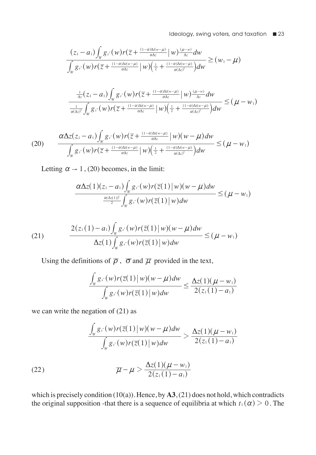$$
\frac{(z_1-a_1)\int_W g_s(w)r(\overline{z}+\frac{(1-\alpha)\Delta t(w-\mu)}{\alpha\Delta z}\Big|w)\frac{(\mu-w)}{\Delta z}dw}{\int_W g_s(w)r(\overline{z}+\frac{(1-\alpha)\Delta t(w-\mu)}{\alpha\Delta z}\Big|w)\left(\frac{1}{2}+\frac{(1-\alpha)\Delta t(w-\mu)}{\alpha(\Delta z)^2}\right)dw} \geq (w_1-\mu)
$$
\n
$$
\frac{\frac{1}{\Delta z}(z_1-a_1)\int_W g_s(w)r(\overline{z}+\frac{(1-\alpha)\Delta t(w-\mu)}{\alpha\Delta z}\Big|w)\frac{(\mu-w)}{\Delta z}dw}{\frac{1}{\alpha(\Delta z)^2}\int_W g_s(w)r(\overline{z}+\frac{(1-\alpha)\Delta t(w-\mu)}{\alpha\Delta z}\Big|w)\left(\frac{1}{2}+\frac{(1-\alpha)\Delta t(w-\mu)}{\alpha(\Delta z)^2}\right)dw} \leq (\mu-w_1)
$$

$$
(20) \qquad \frac{\alpha \Delta z (z_1 - a_1) \int_W g_{s^*}(w) r(\overline{z} + \frac{(1 - \alpha) \Delta t (w - \mu)}{\alpha \Delta z} \Big| w)(w - \mu) dw}{\int_W g_{s^*}(w) r(\overline{z} + \frac{(1 - \alpha) \Delta t (w - \mu)}{\alpha \Delta z} \Big| w)(\frac{1}{2} + \frac{(1 - \alpha) \Delta t (w - \mu)}{\alpha (\Delta z)^2}) dw} \leq (\mu - w_1)
$$

Letting  $\alpha \rightarrow 1$ , (20) becomes, in the limit:

$$
\frac{\alpha \Delta z(1)(z_1-a_1) \int_W g_{s^*}(w) r(\overline{z}(1) \mid w)(w-\mu) dw}{\frac{\alpha(\Delta z(1))^2}{2} \int_W g_{s^*}(w) r(\overline{z}(1) \mid w) dw} \leq (\mu - w_1)
$$

(21) 
$$
\frac{2(z_1(1)-a_1)\int_w g_{s^*}(w)r(\overline{z}(1)|w)(w-\mu)dw}{\Delta z(1)\int_w g_{s^*}(w)r(\overline{z}(1)|w)dw} \leq (\mu - w_1)
$$

Using the definitions of  $\overline{\rho}$ ,  $\overline{\sigma}$  and  $\overline{\mu}$  provided in the text,

$$
\frac{\int_{w} g_s(w)r(\overline{z}(1) \, | \, w)(w - \mu) dw}{\int_{w} g_s(w)r(\overline{z}(1) \, | \, w) dw} \leq \frac{\Delta z(1)(\mu - w_1)}{2(z_1(1) - a_1)}
$$

we can write the negation of  $(21)$  as

$$
\frac{\int_{w} g_s(w)r(\overline{z}(1) \mid w)(w-\mu)dw}{\int_{w} g_s(w)r(\overline{z}(1) \mid w)dw} > \frac{\Delta z(1)(\mu - w_1)}{2(z_1(1) - a_1)}
$$

(22) 
$$
\overline{\mu} - \mu > \frac{\Delta z(1)(\mu - w_1)}{2(z_1(1) - a_1)}
$$

which is precisely condition (10(a)). Hence, by **A3**, (21) does not hold, which contradicts the original supposition -that there is a sequence of equilibria at which  $t_1 (\alpha) > 0$ . The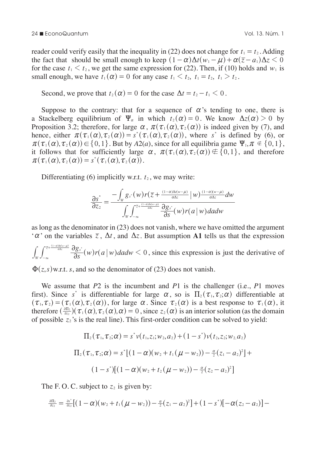reader could verify easily that the inequality in (22) does not change for  $t_1 = t_2$ . Adding the fact that should be small enough to keep  $(1 - \alpha) \Delta t (w_1 - \mu) + \alpha (\bar{z} - a_1) \Delta z < 0$ for the case  $t_1 \le t_2$ , we get the same expression for (22). Then, if (10) holds and  $w_1$  is small enough, we have  $t_1(\alpha) = 0$  for any case  $t_1 \le t_2$ ,  $t_1 = t_2$ ,  $t_1 \ge t_2$ .

Second, we prove that  $t_2 (\alpha) = 0$  for the case  $\Delta t = t_2 - t_1 \leq 0$ .

Suppose to the contrary: that for a sequence of  $\alpha$ 's tending to one, there is a Stackelberg equilibrium of  $\Psi_\alpha$  in which  $t_2 (\alpha) = 0$ . We know  $\Delta z(\alpha) > 0$  by Proposition 3.2; therefore, for large  $\alpha$ ,  $\pi(\tau_1(\alpha), \tau_2(\alpha))$  is indeed given by (7), and hence, either  $\pi(\tau_1(\alpha), \tau_2(\alpha)) = s^*(\tau_1(\alpha), \tau_2(\alpha))$ , where *s*<sup>\*</sup> is defined by (6), or  $\pi(\tau_1(\alpha), \tau_2(\alpha)) \in \{0, 1\}$ . But by *A*2(*a*), since for all equilibria game  $\Psi_1, \pi \notin \{0, 1\}$ , it follows that for sufficiently large  $\alpha$ ,  $\pi(\tau_1(\alpha), \tau_2(\alpha)) \notin \{0,1\}$ , and therefore  $\pi(\tau_1(\alpha), \tau_2(\alpha)) = s^*(\tau_1(\alpha), \tau_2(\alpha)).$ 

Differentiating  $(6)$  implicitly w.r.t.  $t_2$ , we may write:

$$
\frac{\partial s^*}{\partial z_2} = \frac{-\int_W g_{s^*}(w)r(\overline{z} + \frac{(1-\alpha)\Delta t(w-\mu)}{\alpha\Delta z}\big|w)^{\frac{(1-\alpha)(w-\mu)}{\alpha\Delta z}}dw}{\int_W \int_{-\infty}^{\frac{\pi}{z} + \frac{(1-\alpha)\Delta t(w-\mu)}{\alpha\Delta z}} \frac{\partial g_{s^*}}{\partial s}(w)r(a\big|w)dadw}
$$

as long as the denominator in (23) does not vanish, where we have omitted the argument  $\alpha'$  on the variables  $\overline{z}$ ,  $\Delta t$ , and  $\Delta z$ . But assumption A1 tells us that the expression

 $\int_{-\infty}^{\pi\sqrt{\frac{2+\frac{(1-\alpha)M(w-\mu)}{\alpha\Delta x}}}} \frac{\partial g_{s^*}}{\partial s}(w)r(a\,|\,w) da dw < 0$  $\frac{1-\alpha)\Delta t(w-\mu)}{\alpha\Delta z}$   $\partial \varrho$   $\int$  $\int_{-\infty}^{\frac{\pi}{4}+\frac{(1-\alpha)\Delta (w-\mu)}{\alpha\Delta z}} \!\! \frac{\partial g_{s^*}}{\partial s}(w) r(a\,|\,w) da dw <$  $\int_{\mathbb{R}} \int_{0}^{\frac{\pi}{2} + \frac{(1-\alpha)M(\alpha-\mu)}{\alpha\lambda}} \frac{\partial g_{s^*}}{\partial s}(w)r(a|w) da dw < 0$ , since this expression is just the derivative of

 $\Phi(z, s)$  w.r.t. *s*, and so the denominator of (23) does not vanish.

We assume that *P*2 is the incumbent and *P*1 is the challenger (i.e., *P*1 moves first). Since *s*<sup>\*</sup> is differentiable for large  $\alpha$ , so is  $\Pi_2(\tau_1, \tau_2; \alpha)$  differentiable at  $(\tau_1, \tau_2) = (\tau_1(\alpha), \tau_2(\alpha))$ , for large  $\alpha$ . Since  $\tau_2(\alpha)$  is a best response to  $\tau_1(\alpha)$ , it therefore  $\left(\frac{\partial \Pi_2}{\partial z_2}\right)(\tau_1(\alpha), \tau_2(\alpha), \alpha) = 0$ , since  $z_2(\alpha)$  is an interior solution (as the domain of possible  $z_2$ 's is the real line). This first-order condition can be solved to yield:

$$
\Pi_2(\tau_1, \tau_2; \alpha) = s^* \nu(t_1, z_1; w_2, a_2) + (1 - s^*) \nu(t_2, z_2; w_2, a_2)
$$
  

$$
\Pi_2(\tau_1, \tau_2; \alpha) = s^* [(1 - \alpha)(w_2 + t_1(\mu - w_2)) - \frac{\alpha}{2}(z_1 - a_2)^2] +
$$
  

$$
(1 - s^*) [(1 - \alpha)(w_2 + t_2(\mu - w_2)) - \frac{\alpha}{2}(z_2 - a_2)^2]
$$

The F.O.C. subject to  $z_2$  is given by:

$$
\frac{\partial \Pi_2}{\partial z_2} = \frac{\partial s^*}{\partial z_2} \big[ (1-\alpha)(w_2 + t_1(\mu - w_2)) - \frac{\alpha}{2}(z_1 - a_2)^2 \big] + (1 - s^*) \big[ -\alpha(z_2 - a_2) \big] -
$$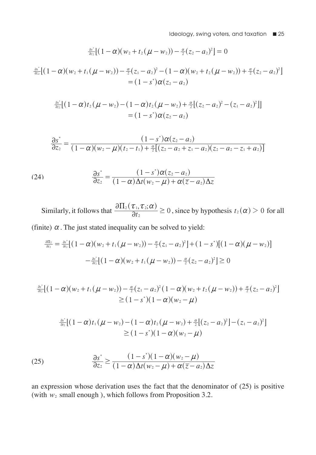$$
\frac{\partial s^*}{\partial z_2}[(1-\alpha)(w_2+t_2(\mu-w_2))-\frac{\alpha}{2}(z_2-a_2)^2]=0
$$

$$
\frac{\frac{\partial s^*}{\partial z_2}[(1-\alpha)(w_2+t_1(\mu-w_2))-\frac{\alpha}{2}(z_1-a_2)^2-(1-\alpha)(w_2+t_2(\mu-w_2))+\frac{\alpha}{2}(z_2-a_2)^2]}{=(1-s^*)\alpha(z_2-a_2)}
$$

$$
\frac{a_2^*}{a_{22}}[(1-\alpha)t_2(\mu-w_2)-(1-\alpha)t_2(\mu-w_2)+\frac{\alpha}{2}[(z_2-a_2)^2-(z_1-a_2)^2]]
$$
  
=  $(1-s^*)\alpha(z_2-a_2)$ 

$$
\frac{\partial s^*}{\partial z_2} = \frac{(1-s^*)\alpha(z_2-a_2)}{(1-\alpha)(w_2-\mu)(t_2-t_1)+\frac{\alpha}{2}[(z_2-a_2+z_1-a_2)(z_2-a_2-z_1+a_2)]}
$$

(24) 
$$
\frac{\partial s^*}{\partial z_2} = \frac{(1-s^*)\alpha(z_2-a_2)}{(1-\alpha)\Delta t(w_2-\mu)+\alpha(\overline{z}-a_2)\Delta z}
$$

Similarly, it follows that  $\frac{\partial \Pi_2(\tau_1, \tau_2; \alpha)}{\partial t_2} \ge 0$ , since by hypothesis  $t_2(\alpha) > 0$  for all (finite)  $\alpha$ . The just stated inequality can be solved to yield:

$$
\frac{\partial \Pi_2}{\partial t_2} = \frac{\partial s^*}{\partial t_2} [(1-\alpha)(w_2 + t_1(\mu - w_2)) - \frac{\alpha}{2}(z_1 - a_2)^2] + (1 - s^*)[(1 - \alpha)(\mu - w_2)]
$$

$$
- \frac{\partial s^*}{\partial t_2} [(1 - \alpha)(w_2 + t_1(\mu - w_2)) - \frac{\alpha}{2}(z_2 - a_2)^2] \ge 0
$$

$$
\frac{\frac{\partial s^*}{\partial t_2}\left[(1-\alpha)(w_2+t_1(\mu-w_2))-\frac{\alpha}{2}(z_1-a_2)^2(1-\alpha)(w_2+t_2(\mu-w_2))+\frac{\alpha}{2}(z_2-a_2)^2\right]}{\geq (1-s^*)(1-\alpha)(w_2-\mu)}
$$

$$
\frac{\frac{\partial s^*}{\partial t_2}\big[ (1-\alpha) t_1(\mu-w_2) - (1-\alpha) t_2(\mu-w_2) + \frac{\alpha}{2}\big[ (z_2-a_2)^2\big] - (z_1-a_2)^2\big]}{\geq (1-s^*)(1-\alpha)(w_2-\mu)}
$$

(25) 
$$
\frac{\partial s^*}{\partial z_2} \ge \frac{(1-s^*)(1-\alpha)(w_2-\mu)}{(1-\alpha)\Delta t(w_2-\mu)+\alpha(\overline{z}-a_2)\Delta z}
$$

an expression whose derivation uses the fact that the denominator of (25) is positive (with  $w_2$  small enough), which follows from Proposition 3.2.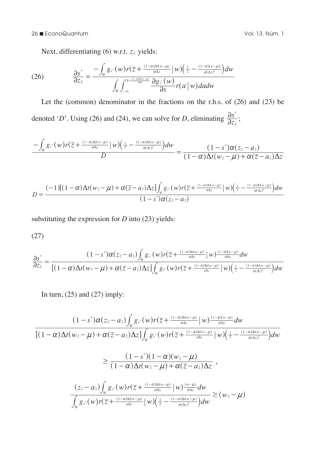26 n EconoQuantum Vol. 13. Núm. 1

Next, differentiating (6) w.r.t.  $z_2$  yields:

(26) 
$$
\frac{\partial s^*}{\partial z_2} = \frac{-\int_W g_{s^*}(w) r(\overline{z} + \frac{(1-\alpha)\Delta t(w-\mu)}{\alpha \Delta z} \mid w) \left(\frac{1}{2} - \frac{(1-\alpha)(w-\mu)}{\alpha(\Delta z)^2}\right) dw}{\int_W \int_{-\infty}^{\frac{\overline{z} + (1-\alpha)\Delta t(w-\mu)}{\alpha \Delta z}} \frac{\partial g_{s^*}(w)}{\partial s} r(a \mid w) da dw}
$$

Let the (common) denominator in the fractions on the r.h.s. of (26) and (23) be denoted '*D*'. Using (26) and (24), we can solve for *D*, eliminating  $\frac{\partial s^*}{\partial z_2}$  $\frac{\partial s^*}{\partial z_2};$ 

$$
\frac{-\int_{W} g_{s}(w)r(\overline{z}+\frac{(1-\alpha)\Delta t(w-\mu)}{\alpha\Delta z}\big|w)\bigg(\frac{1}{2}-\frac{(1-\alpha)\Delta t(w-\mu)}{\alpha(\Delta z)^{2}}\bigg)dw}{D}=\frac{(1-s^{*})\alpha(z_{2}-a_{2})}{(1-\alpha)\Delta t(w_{2}-\mu)+\alpha(\overline{z}-a_{2})\Delta z}
$$

$$
D=\frac{(-1)[(1-\alpha)\Delta t(w_2-\mu)+\alpha(\overline{z}-a_2)\Delta z]\int_{w}g_s(w)r(\overline{z}+\frac{(1-\alpha)\Delta t(w-\mu)}{\alpha\Delta z}\Big|w)\Big(\frac{1}{2}-\frac{(1-\alpha)\Delta t(w-\mu)}{\alpha(\Delta z)^2}\Big)dw}{(1-s^*)\alpha(z_2-a_2)}
$$

substituting the expression for *D* into (23) yields:

$$
(27)
$$

$$
\frac{\partial s^*}{\partial z_2} = \frac{(1-s^*)\alpha(z_2-a_2)\int_w g_s(w)r(\overline{z}+\frac{(1-\alpha)\Delta t(w-\mu)}{\alpha\Delta z})|w\rangle^{\frac{(1-\alpha)(w-\mu)}{\alpha\Delta z}}dw}{[(1-\alpha)\Delta t(w_2-\mu)+\alpha(\overline{z}-a_2)\Delta z]\int_w g_s(w)r(\overline{z}+\frac{(1-\alpha)\Delta t(w-\mu)}{\alpha\Delta z})|w\rangle^{\frac{(1-\alpha)(w-\mu)}{\alpha(\Delta z)}}dw}
$$

In turn,  $(25)$  and  $(27)$  imply:

$$
\frac{(1-s^*)\alpha(z_2-a_2)\int_w g_{s^*}(w)r(\overline{z}+\frac{(1-\alpha)\Delta(w-\mu)}{\alpha\Delta z}\mid w)\frac{(1-\alpha)(w-\mu)}{\alpha\Delta z}dw}{[(1-\alpha)\Delta t(w_2-\mu)+\alpha(\overline{z}-a_2)\Delta z]\int_w g_{s^*}(w)r(\overline{z}+\frac{(1-\alpha)\Delta(w-\mu)}{\alpha\Delta z}\mid w)\left(\frac{1}{2}-\frac{(1-\alpha)\Delta t(w-\mu)}{\alpha(\Delta z)^2}\right)dw}
$$

$$
\geq \frac{(1-s^*)(1-\alpha)(w_2-\mu)}{(1-\alpha)\Delta t(w_2-\mu)+\alpha(\overline{z}-a_2)\Delta z},
$$

$$
\frac{(z_2-a_2)\int_w g_{s^*}(w)r(\overline{z}+\frac{(1-\alpha)\Delta t(w-\mu)}{\alpha\Delta z}\mid w)\frac{(w-\mu)}{\alpha\Delta z}dw}{\int_w g_{s^*}(w)r(\overline{z}+\frac{(1-\alpha)\Delta t(w-\mu)}{\alpha\Delta z}\mid w)\left(\frac{1}{2}-\frac{(1-\alpha)\Delta t(w-\mu)}{\alpha(\Delta z)^2}\right)dw} \geq (w_2-\mu)
$$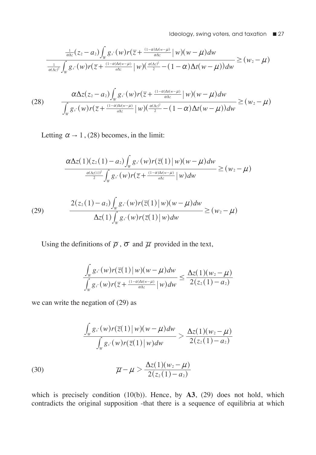$$
\frac{\frac{1}{\alpha\Delta z}(z_2-a_2)\int_W g_{s^*}(w)r(\overline{z}+\frac{(1-\alpha)\Delta t(w-\mu)}{\alpha\Delta z})|w)(w-\mu)dw}{\frac{1}{\alpha(\Delta z)^2}\int_W g_{s^*}(w)r(\overline{z}+\frac{(1-\alpha)\Delta t(w-\mu)}{\alpha\Delta z})|w)(\frac{\alpha(\Delta z)^2}{2}-(1-\alpha)\Delta t(w-\mu))dw} \geq (w_2-\mu)
$$

$$
(28) \qquad \frac{\alpha \Delta z (z_2 - a_2) \int_W g_{s^*}(w) r(\overline{z} + \frac{(1 - \alpha) \Delta t (w - \mu)}{\alpha \Delta z} \mid w)(w - \mu) dw}{\int_W g_{s^*}(w) r(\overline{z} + \frac{(1 - \alpha) \Delta t (w - \mu)}{\alpha \Delta z} \mid w)(\frac{\alpha (\Delta z)^2}{2} - (1 - \alpha) \Delta t (w - \mu)) dw} \geq (w_2 - \mu)
$$

Letting  $\alpha \rightarrow 1$ , (28) becomes, in the limit:

$$
\frac{\alpha \Delta z(1)(z_2(1)-a_2)\int_W g_{s}(w)r(\overline{z}(1)|w)(w-\mu)dw}{\frac{\alpha(\Delta z(1))^2}{2}\int_W g_{s}(w)r(\overline{z}+\frac{(1-\alpha)\Delta t(w-\mu)}{a\Delta z}|w)dw} \geq (w_2-\mu)
$$

(29) 
$$
\frac{2(z_2(1)-a_2)\int_w g_s(w)r(\overline{z}(1)|w)(w-\mu)dw}{\Delta z(1)\int_w g_s(w)r(\overline{z}(1)|w)dw} \geq (w_2-\mu)
$$

Using the definitions of  $\overline{\rho}$ ,  $\overline{\sigma}$  and  $\overline{\mu}$  provided in the text,

$$
\frac{\int_{w} g_{s^*}(w)r(\overline{z}(1) \mid w)(w - \mu)dw}{\int_{w} g_{s^*}(w)r(\overline{z} + \frac{(1-\alpha)\Delta t(w - \mu)}{\alpha \Delta z} \mid w)dw} \leq \frac{\Delta z(1)(w_2 - \mu)}{2(z_2(1) - a_2)}
$$

we can write the negation of (29) as

(30)  
\n
$$
\frac{\int_{w} g_s(w)r(\overline{z}(1)|w)(w-\mu)dw}{\int_{w} g_s(w)r(\overline{z}(1)|w)dw} > \frac{\Delta z(1)(w_2-\mu)}{2(z_2(1)-a_2)}
$$
\n
$$
\overline{\mu} - \mu > \frac{\Delta z(1)(w_2-\mu)}{2(z_2(1)-a_2)}
$$

which is precisely condition (10(b)). Hence, by **A3**, (29) does not hold, which contradicts the original supposition -that there is a sequence of equilibria at which